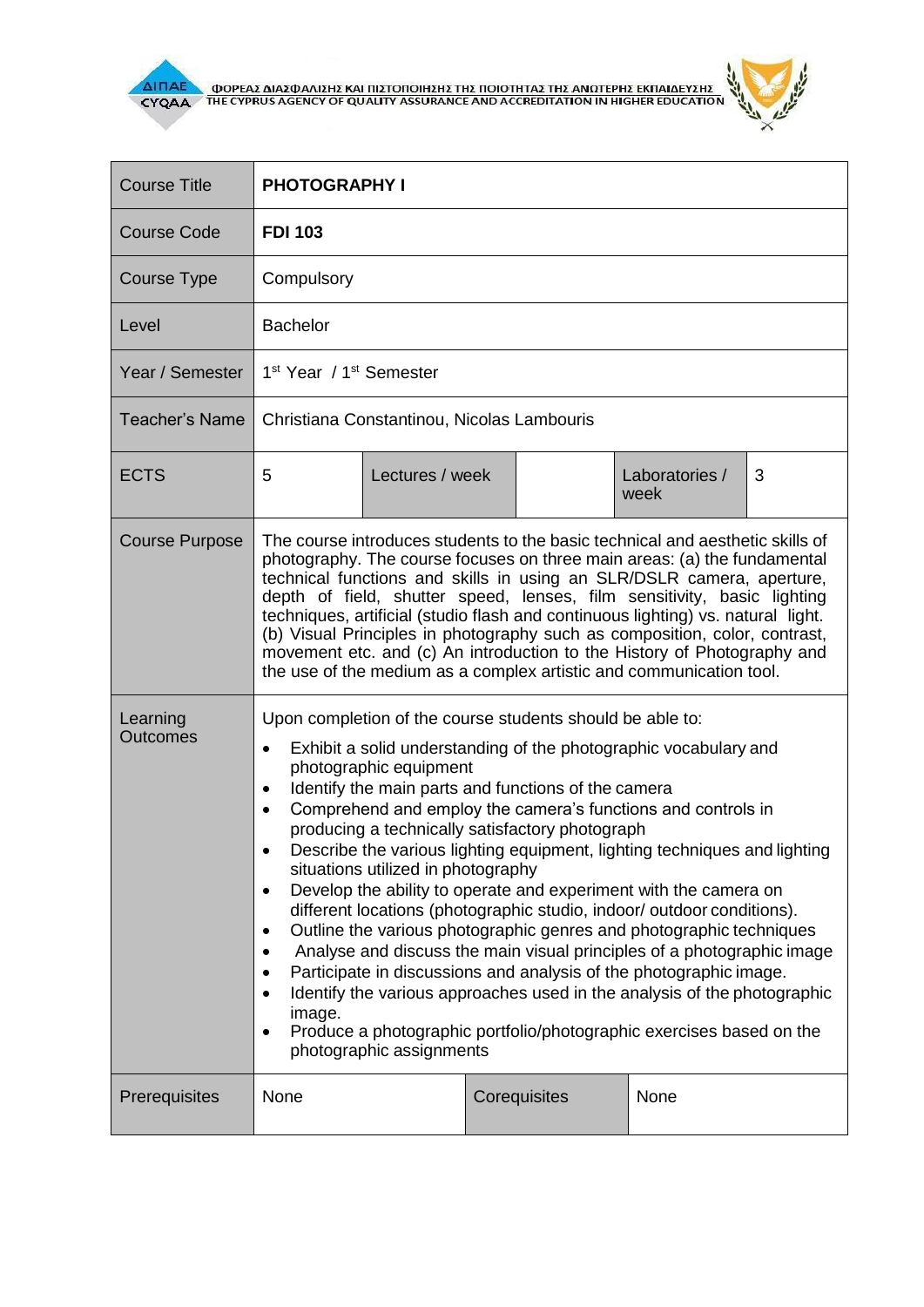

 $\overline{\Delta}$  (MOPEA) ANALO ANALO KALIBET ON THE CYPRUS AGENCY OF QUALITY ASSURANCE AND ACCREDITATION IN HIGHER EDUCATION



| <b>Course Title</b>         | <b>PHOTOGRAPHY I</b>                                                                                                                                                                                                                                                                                                                                                                                                                                                                                                                                                                                                                                                                                                                                                                                                                                                                                                                                                                                                                                                                 |                 |  |              |                        |   |
|-----------------------------|--------------------------------------------------------------------------------------------------------------------------------------------------------------------------------------------------------------------------------------------------------------------------------------------------------------------------------------------------------------------------------------------------------------------------------------------------------------------------------------------------------------------------------------------------------------------------------------------------------------------------------------------------------------------------------------------------------------------------------------------------------------------------------------------------------------------------------------------------------------------------------------------------------------------------------------------------------------------------------------------------------------------------------------------------------------------------------------|-----------------|--|--------------|------------------------|---|
| <b>Course Code</b>          | <b>FDI 103</b>                                                                                                                                                                                                                                                                                                                                                                                                                                                                                                                                                                                                                                                                                                                                                                                                                                                                                                                                                                                                                                                                       |                 |  |              |                        |   |
| Course Type                 | Compulsory                                                                                                                                                                                                                                                                                                                                                                                                                                                                                                                                                                                                                                                                                                                                                                                                                                                                                                                                                                                                                                                                           |                 |  |              |                        |   |
| Level                       | <b>Bachelor</b>                                                                                                                                                                                                                                                                                                                                                                                                                                                                                                                                                                                                                                                                                                                                                                                                                                                                                                                                                                                                                                                                      |                 |  |              |                        |   |
| Year / Semester             | 1 <sup>st</sup> Year / 1 <sup>st</sup> Semester                                                                                                                                                                                                                                                                                                                                                                                                                                                                                                                                                                                                                                                                                                                                                                                                                                                                                                                                                                                                                                      |                 |  |              |                        |   |
| <b>Teacher's Name</b>       | Christiana Constantinou, Nicolas Lambouris                                                                                                                                                                                                                                                                                                                                                                                                                                                                                                                                                                                                                                                                                                                                                                                                                                                                                                                                                                                                                                           |                 |  |              |                        |   |
| <b>ECTS</b>                 | 5                                                                                                                                                                                                                                                                                                                                                                                                                                                                                                                                                                                                                                                                                                                                                                                                                                                                                                                                                                                                                                                                                    | Lectures / week |  |              | Laboratories /<br>week | 3 |
| <b>Course Purpose</b>       | The course introduces students to the basic technical and aesthetic skills of<br>photography. The course focuses on three main areas: (a) the fundamental<br>technical functions and skills in using an SLR/DSLR camera, aperture,<br>depth of field, shutter speed, lenses, film sensitivity, basic lighting<br>techniques, artificial (studio flash and continuous lighting) vs. natural light.<br>(b) Visual Principles in photography such as composition, color, contrast,<br>movement etc. and (c) An introduction to the History of Photography and<br>the use of the medium as a complex artistic and communication tool.                                                                                                                                                                                                                                                                                                                                                                                                                                                    |                 |  |              |                        |   |
| Learning<br><b>Outcomes</b> | Upon completion of the course students should be able to:<br>Exhibit a solid understanding of the photographic vocabulary and<br>$\bullet$<br>photographic equipment<br>Identify the main parts and functions of the camera<br>$\bullet$<br>Comprehend and employ the camera's functions and controls in<br>$\bullet$<br>producing a technically satisfactory photograph<br>Describe the various lighting equipment, lighting techniques and lighting<br>situations utilized in photography<br>Develop the ability to operate and experiment with the camera on<br>$\bullet$<br>different locations (photographic studio, indoor/ outdoor conditions).<br>Outline the various photographic genres and photographic techniques<br>$\bullet$<br>Analyse and discuss the main visual principles of a photographic image<br>Participate in discussions and analysis of the photographic image.<br>Identify the various approaches used in the analysis of the photographic<br>image.<br>Produce a photographic portfolio/photographic exercises based on the<br>photographic assignments |                 |  |              |                        |   |
| Prerequisites               | None                                                                                                                                                                                                                                                                                                                                                                                                                                                                                                                                                                                                                                                                                                                                                                                                                                                                                                                                                                                                                                                                                 |                 |  | Corequisites | None                   |   |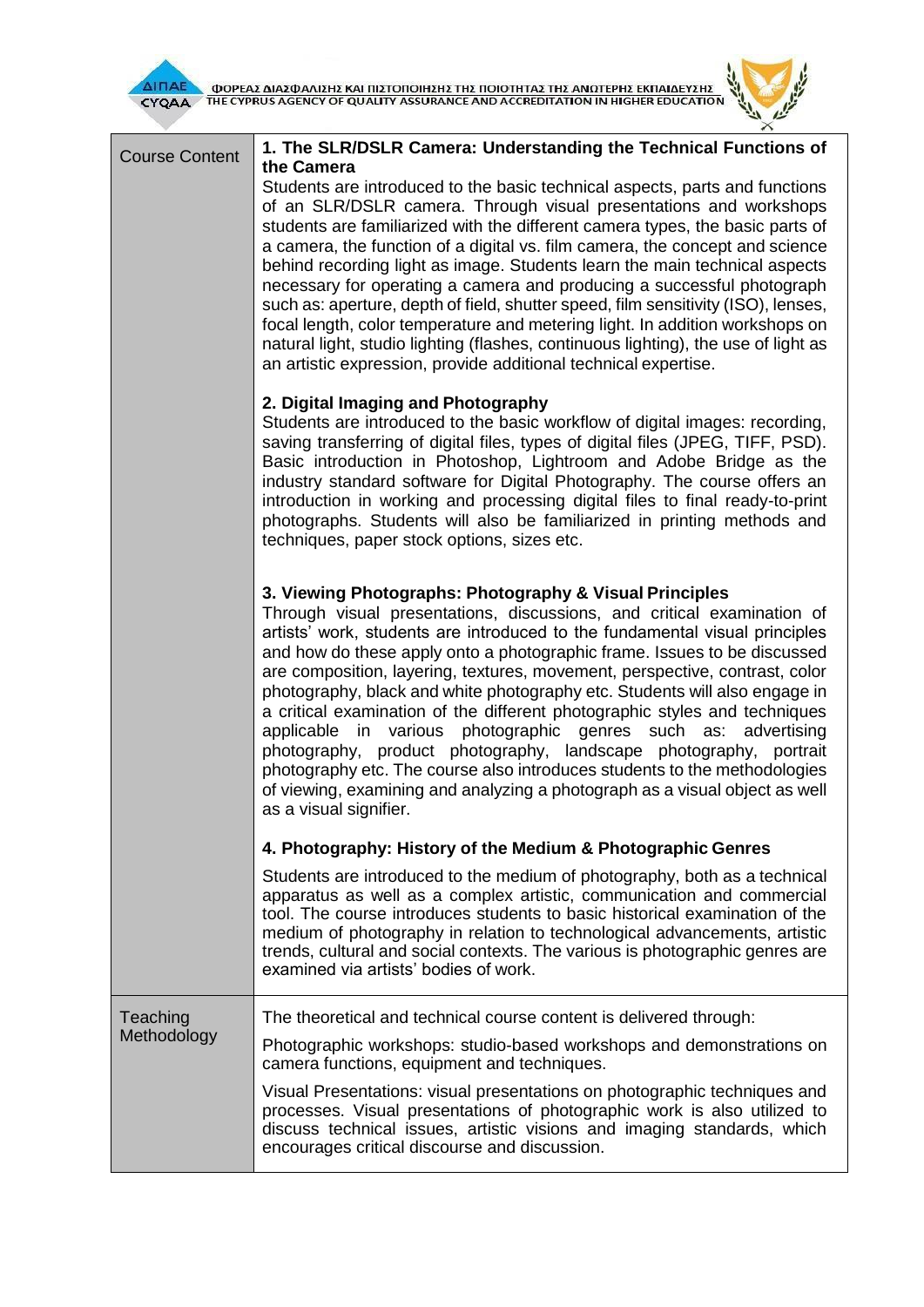

| ΔΙΠΑΕ<br>ΦΟΡΕΑΣ ΔΙΑΣΦΑΛΙΣΗΣ ΚΑΙ ΠΙΣΤΟΠΟΙΗΣΗΣ ΤΗΣ ΠΟΙΟΤΗΤΑΣ ΤΗΣ ΑΝΩΤΕΡΗΣ ΕΚΠΑΙΔΕΥΣΗΣ<br>ΤΗΕ CYPRUS AGENCY OF QUALITY ASSURANCE AND ACCREDITATION IN HIGHER EDUCATION<br><b>CYQAA</b> |                                                                                                                                                                                                                                                                                                                                                                                                                                                                                                                                                                                                                                                                                                                                                                                                                                                                                           |  |  |  |
|-------------------------------------------------------------------------------------------------------------------------------------------------------------------------------------|-------------------------------------------------------------------------------------------------------------------------------------------------------------------------------------------------------------------------------------------------------------------------------------------------------------------------------------------------------------------------------------------------------------------------------------------------------------------------------------------------------------------------------------------------------------------------------------------------------------------------------------------------------------------------------------------------------------------------------------------------------------------------------------------------------------------------------------------------------------------------------------------|--|--|--|
| <b>Course Content</b>                                                                                                                                                               | 1. The SLR/DSLR Camera: Understanding the Technical Functions of<br>the Camera<br>Students are introduced to the basic technical aspects, parts and functions<br>of an SLR/DSLR camera. Through visual presentations and workshops<br>students are familiarized with the different camera types, the basic parts of<br>a camera, the function of a digital vs. film camera, the concept and science<br>behind recording light as image. Students learn the main technical aspects<br>necessary for operating a camera and producing a successful photograph<br>such as: aperture, depth of field, shutter speed, film sensitivity (ISO), lenses,<br>focal length, color temperature and metering light. In addition workshops on<br>natural light, studio lighting (flashes, continuous lighting), the use of light as<br>an artistic expression, provide additional technical expertise. |  |  |  |
|                                                                                                                                                                                     | 2. Digital Imaging and Photography<br>Students are introduced to the basic workflow of digital images: recording,<br>saving transferring of digital files, types of digital files (JPEG, TIFF, PSD).<br>Basic introduction in Photoshop, Lightroom and Adobe Bridge as the<br>industry standard software for Digital Photography. The course offers an<br>introduction in working and processing digital files to final ready-to-print<br>photographs. Students will also be familiarized in printing methods and<br>techniques, paper stock options, sizes etc.                                                                                                                                                                                                                                                                                                                          |  |  |  |
|                                                                                                                                                                                     | 3. Viewing Photographs: Photography & Visual Principles<br>Through visual presentations, discussions, and critical examination of<br>artists' work, students are introduced to the fundamental visual principles<br>and how do these apply onto a photographic frame. Issues to be discussed<br>are composition, layering, textures, movement, perspective, contrast, color<br>photography, black and white photography etc. Students will also engage in<br>a critical examination of the different photographic styles and techniques<br>applicable in various photographic genres such as:<br>advertising<br>photography, product photography, landscape photography,<br>portrait<br>photography etc. The course also introduces students to the methodologies<br>of viewing, examining and analyzing a photograph as a visual object as well<br>as a visual signifier.                |  |  |  |
|                                                                                                                                                                                     | 4. Photography: History of the Medium & Photographic Genres                                                                                                                                                                                                                                                                                                                                                                                                                                                                                                                                                                                                                                                                                                                                                                                                                               |  |  |  |
|                                                                                                                                                                                     | Students are introduced to the medium of photography, both as a technical<br>apparatus as well as a complex artistic, communication and commercial<br>tool. The course introduces students to basic historical examination of the<br>medium of photography in relation to technological advancements, artistic<br>trends, cultural and social contexts. The various is photographic genres are<br>examined via artists' bodies of work.                                                                                                                                                                                                                                                                                                                                                                                                                                                   |  |  |  |
| Teaching                                                                                                                                                                            | The theoretical and technical course content is delivered through:                                                                                                                                                                                                                                                                                                                                                                                                                                                                                                                                                                                                                                                                                                                                                                                                                        |  |  |  |
| Methodology                                                                                                                                                                         | Photographic workshops: studio-based workshops and demonstrations on<br>camera functions, equipment and techniques.                                                                                                                                                                                                                                                                                                                                                                                                                                                                                                                                                                                                                                                                                                                                                                       |  |  |  |
|                                                                                                                                                                                     | Visual Presentations: visual presentations on photographic techniques and<br>processes. Visual presentations of photographic work is also utilized to<br>discuss technical issues, artistic visions and imaging standards, which<br>encourages critical discourse and discussion.                                                                                                                                                                                                                                                                                                                                                                                                                                                                                                                                                                                                         |  |  |  |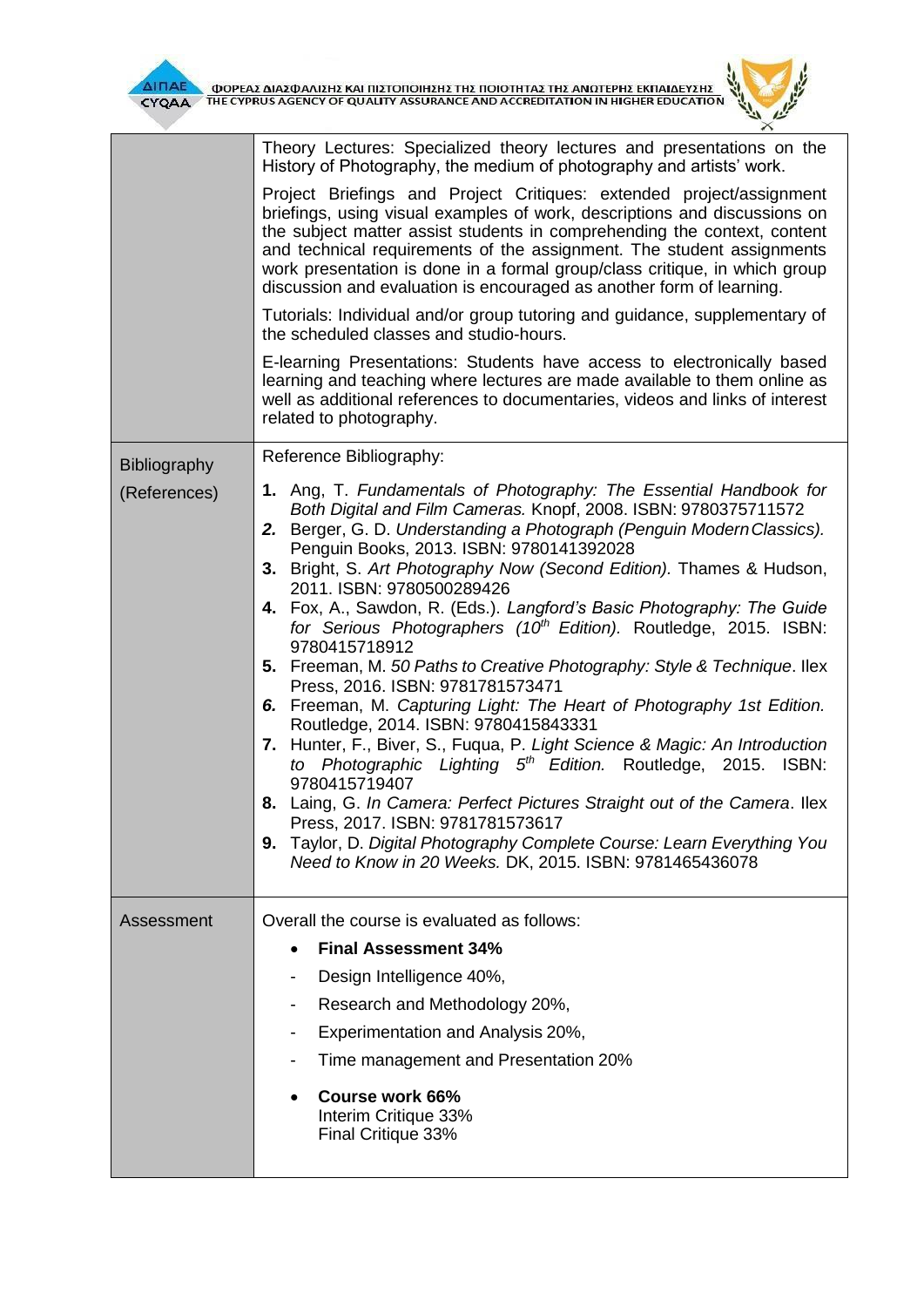$\mathbf{r}$ 



|              | Theory Lectures: Specialized theory lectures and presentations on the<br>History of Photography, the medium of photography and artists' work.                                                                                                                                                                                                                                                                                                                                                                                                                                                                                                                                                                                                                                                                                                                                                                                                                                                                                                                                                                                                                                                                     |  |  |  |
|--------------|-------------------------------------------------------------------------------------------------------------------------------------------------------------------------------------------------------------------------------------------------------------------------------------------------------------------------------------------------------------------------------------------------------------------------------------------------------------------------------------------------------------------------------------------------------------------------------------------------------------------------------------------------------------------------------------------------------------------------------------------------------------------------------------------------------------------------------------------------------------------------------------------------------------------------------------------------------------------------------------------------------------------------------------------------------------------------------------------------------------------------------------------------------------------------------------------------------------------|--|--|--|
|              | Project Briefings and Project Critiques: extended project/assignment<br>briefings, using visual examples of work, descriptions and discussions on<br>the subject matter assist students in comprehending the context, content<br>and technical requirements of the assignment. The student assignments<br>work presentation is done in a formal group/class critique, in which group<br>discussion and evaluation is encouraged as another form of learning.                                                                                                                                                                                                                                                                                                                                                                                                                                                                                                                                                                                                                                                                                                                                                      |  |  |  |
|              | Tutorials: Individual and/or group tutoring and guidance, supplementary of<br>the scheduled classes and studio-hours.                                                                                                                                                                                                                                                                                                                                                                                                                                                                                                                                                                                                                                                                                                                                                                                                                                                                                                                                                                                                                                                                                             |  |  |  |
|              | E-learning Presentations: Students have access to electronically based<br>learning and teaching where lectures are made available to them online as<br>well as additional references to documentaries, videos and links of interest<br>related to photography.                                                                                                                                                                                                                                                                                                                                                                                                                                                                                                                                                                                                                                                                                                                                                                                                                                                                                                                                                    |  |  |  |
| Bibliography | Reference Bibliography:                                                                                                                                                                                                                                                                                                                                                                                                                                                                                                                                                                                                                                                                                                                                                                                                                                                                                                                                                                                                                                                                                                                                                                                           |  |  |  |
| (References) | 1. Ang, T. Fundamentals of Photography: The Essential Handbook for<br>Both Digital and Film Cameras. Knopf, 2008. ISBN: 9780375711572<br>2. Berger, G. D. Understanding a Photograph (Penguin Modern Classics).<br>Penguin Books, 2013. ISBN: 9780141392028<br>3. Bright, S. Art Photography Now (Second Edition). Thames & Hudson,<br>2011. ISBN: 9780500289426<br>4. Fox, A., Sawdon, R. (Eds.). Langford's Basic Photography: The Guide<br>for Serious Photographers (10 <sup>th</sup> Edition). Routledge, 2015. ISBN:<br>9780415718912<br>5. Freeman, M. 50 Paths to Creative Photography: Style & Technique. Ilex<br>Press, 2016. ISBN: 9781781573471<br>6. Freeman, M. Capturing Light: The Heart of Photography 1st Edition.<br>Routledge, 2014. ISBN: 9780415843331<br>7. Hunter, F., Biver, S., Fuqua, P. Light Science & Magic: An Introduction<br>to Photographic Lighting 5 <sup>th</sup> Edition. Routledge, 2015. ISBN:<br>9780415719407<br>8. Laing, G. In Camera: Perfect Pictures Straight out of the Camera. Ilex<br>Press, 2017. ISBN: 9781781573617<br>Taylor, D. Digital Photography Complete Course: Learn Everything You<br>9.<br>Need to Know in 20 Weeks. DK, 2015. ISBN: 9781465436078 |  |  |  |
| Assessment   | Overall the course is evaluated as follows:                                                                                                                                                                                                                                                                                                                                                                                                                                                                                                                                                                                                                                                                                                                                                                                                                                                                                                                                                                                                                                                                                                                                                                       |  |  |  |
|              | <b>Final Assessment 34%</b><br>$\bullet$                                                                                                                                                                                                                                                                                                                                                                                                                                                                                                                                                                                                                                                                                                                                                                                                                                                                                                                                                                                                                                                                                                                                                                          |  |  |  |
|              | Design Intelligence 40%,                                                                                                                                                                                                                                                                                                                                                                                                                                                                                                                                                                                                                                                                                                                                                                                                                                                                                                                                                                                                                                                                                                                                                                                          |  |  |  |
|              | Research and Methodology 20%,                                                                                                                                                                                                                                                                                                                                                                                                                                                                                                                                                                                                                                                                                                                                                                                                                                                                                                                                                                                                                                                                                                                                                                                     |  |  |  |
|              | Experimentation and Analysis 20%,<br>$\overline{\phantom{a}}$                                                                                                                                                                                                                                                                                                                                                                                                                                                                                                                                                                                                                                                                                                                                                                                                                                                                                                                                                                                                                                                                                                                                                     |  |  |  |
|              | Time management and Presentation 20%                                                                                                                                                                                                                                                                                                                                                                                                                                                                                                                                                                                                                                                                                                                                                                                                                                                                                                                                                                                                                                                                                                                                                                              |  |  |  |
|              | Course work 66%<br>Interim Critique 33%<br>Final Critique 33%                                                                                                                                                                                                                                                                                                                                                                                                                                                                                                                                                                                                                                                                                                                                                                                                                                                                                                                                                                                                                                                                                                                                                     |  |  |  |